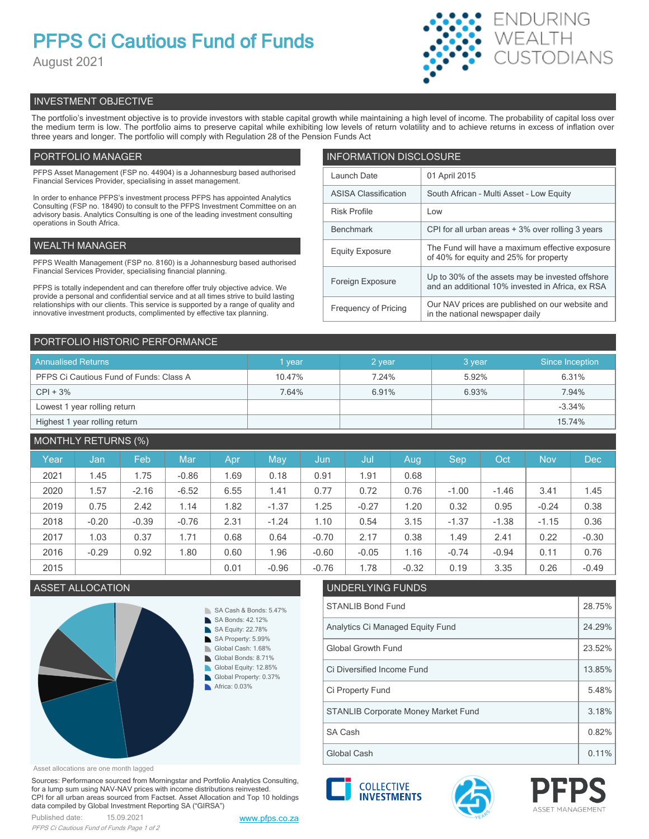# **PFPS Ci Cautious Fund of Funds**

August 2021



# INVESTMENT OBJECTIVE

The portfolio's investment objective is to provide investors with stable capital growth while maintaining a high level of income. The probability of capital loss over the medium term is low. The portfolio aims to preserve capital while exhibiting low levels of return volatility and to achieve returns in excess of inflation over three years and longer. The portfolio will comply with Regulation 28 of the Pension Funds Act

# PORTFOLIO MANAGER

PFPS Asset Management (FSP no. 44904) is a Johannesburg based authorised Financial Services Provider, specialising in asset management.

In order to enhance PFPS's investment process PFPS has appointed Analytics Consulting (FSP no. 18490) to consult to the PFPS Investment Committee on an advisory basis. Analytics Consulting is one of the leading investment consulting operations in South Africa.

# WEALTH MANAGER

PFPS Wealth Management (FSP no. 8160) is a Johannesburg based authorised Financial Services Provider, specialising financial planning.

PFPS is totally independent and can therefore offer truly objective advice. We provide a personal and confidential service and at all times strive to build lasting relationships with our clients. This service is supported by a range of quality and innovative investment products, complimented by effective tax planning.

| <b>INFORMATION DISCLOSURE</b> |                                                                                                      |  |  |  |
|-------------------------------|------------------------------------------------------------------------------------------------------|--|--|--|
| Launch Date                   | 01 April 2015                                                                                        |  |  |  |
| <b>ASISA Classification</b>   | South African - Multi Asset - Low Equity                                                             |  |  |  |
| <b>Risk Profile</b>           | Low                                                                                                  |  |  |  |
| <b>Benchmark</b>              | CPI for all urban areas + 3% over rolling 3 years                                                    |  |  |  |
| <b>Equity Exposure</b>        | The Fund will have a maximum effective exposure<br>of 40% for equity and 25% for property            |  |  |  |
| Foreign Exposure              | Up to 30% of the assets may be invested offshore<br>and an additional 10% invested in Africa, ex RSA |  |  |  |
| <b>Frequency of Pricing</b>   | Our NAV prices are published on our website and<br>in the national newspaper daily                   |  |  |  |

# PORTFOLIO HISTORIC PERFORMANCE

| <b>Annualised Returns</b>               | vear   | 2 year | 3 year | Since Inception |
|-----------------------------------------|--------|--------|--------|-----------------|
| PFPS Ci Cautious Fund of Funds: Class A | 10.47% | 7.24%  | 5.92%  | 6.31%           |
| $CPI + 3%$                              | 7.64%  | 6.91%  | 6.93%  | 7.94%           |
| Lowest 1 year rolling return            |        |        |        | $-3.34%$        |
| Highest 1 year rolling return           |        |        |        | 15.74%          |

# MONTHLY RETURNS (%)

| Year | Jan     | Feb     | Mar     | Apr. | May     | Jun     | Jul     | Aug     | Sep     | Oct     | <b>Nov</b> | <b>Dec</b> |
|------|---------|---------|---------|------|---------|---------|---------|---------|---------|---------|------------|------------|
| 2021 | 1.45    | 1.75    | $-0.86$ | 1.69 | 0.18    | 0.91    | 1.91    | 0.68    |         |         |            |            |
| 2020 | 1.57    | $-2.16$ | $-6.52$ | 6.55 | 1.41    | 0.77    | 0.72    | 0.76    | $-1.00$ | $-1.46$ | 3.41       | 1.45       |
| 2019 | 0.75    | 2.42    | 1.14    | 1.82 | $-1.37$ | 1.25    | $-0.27$ | 1.20    | 0.32    | 0.95    | $-0.24$    | 0.38       |
| 2018 | $-0.20$ | $-0.39$ | $-0.76$ | 2.31 | $-1.24$ | 1.10    | 0.54    | 3.15    | $-1.37$ | $-1.38$ | $-1.15$    | 0.36       |
| 2017 | 1.03    | 0.37    | 1.71    | 0.68 | 0.64    | $-0.70$ | 2.17    | 0.38    | 1.49    | 2.41    | 0.22       | $-0.30$    |
| 2016 | $-0.29$ | 0.92    | 1.80    | 0.60 | 1.96    | $-0.60$ | $-0.05$ | 1.16    | $-0.74$ | $-0.94$ | 0.11       | 0.76       |
| 2015 |         |         |         | 0.01 | $-0.96$ | $-0.76$ | 1.78    | $-0.32$ | 0.19    | 3.35    | 0.26       | $-0.49$    |

# ASSET ALLOCATION UNDERLYING FUNDS



### Asset allocations are one month lagged

Sources: Performance sourced from Morningstar and Portfolio Analytics Consulting, for a lump sum using NAV-NAV prices with income distributions reinvested. CPI for all urban areas sourced from Factset. Asset Allocation and Top 10 holdings data compiled by Global Investment Reporting SA ("GIRSA")



| Analytics Ci Managed Equity Fund           |        |  |  |
|--------------------------------------------|--------|--|--|
| Global Growth Fund                         |        |  |  |
| Ci Diversified Income Fund                 | 13.85% |  |  |
| Ci Property Fund                           |        |  |  |
| <b>STANLIB Corporate Money Market Fund</b> |        |  |  |
| <b>SA Cash</b>                             | 0.82%  |  |  |
| Global Cash                                | 0.11%  |  |  |